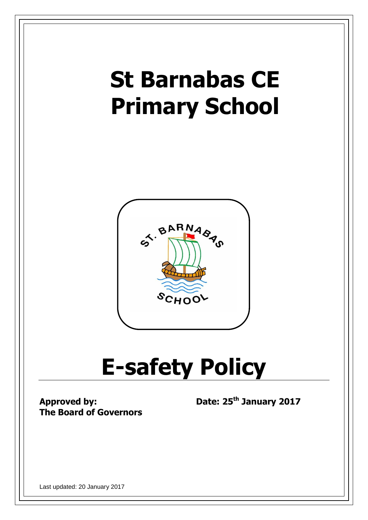# **St Barnabas CE Primary School**



# **E-safety Policy**

**Approved by: The Board of Governors**  **Date: 25th January 2017**

Last updated: 20 January 2017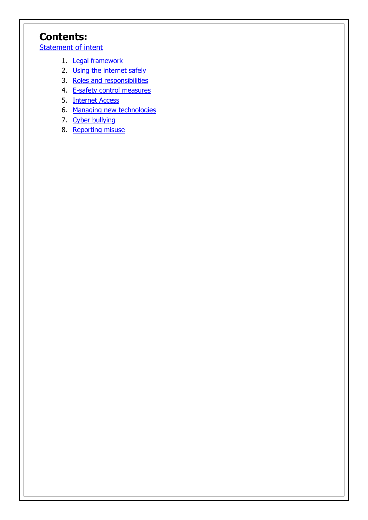# **Contents:**

**[Statement of intent](#page-2-0)** 

- 1. [Legal framework](#page-2-1)
- 2. Using the internet safely
- 3. Roles and [responsibilities](#page-3-0)
- 4. [E-safety control](#page-5-0) measures
- 5. Internet Access
- 6. Managing new technologies
- 7. Cyber [bullying](#page-8-0)
- 8. [Reporting misuse](#page-9-0)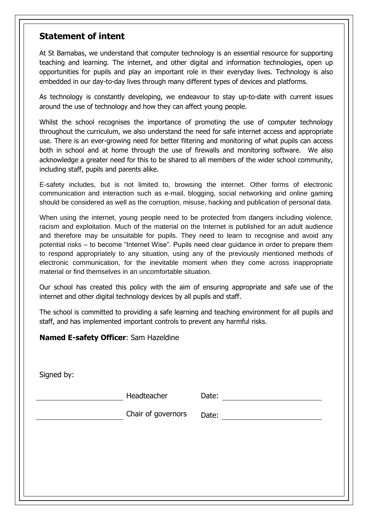### <span id="page-2-0"></span>**Statement of intent**

At St Barnabas, we understand that computer technology is an essential resource for supporting teaching and learning. The internet, and other digital and information technologies, open up opportunities for pupils and play an important role in their everyday lives. Technology is also embedded in our day-to-day lives through many different types of devices and platforms.

As technology is constantly developing, we endeavour to stay up-to-date with current issues around the use of technology and how they can affect young people.

Whilst the school recognises the importance of promoting the use of computer technology throughout the curriculum, we also understand the need for safe internet access and appropriate use. There is an ever-growing need for better filtering and monitoring of what pupils can access both in school and at home through the use of firewalls and monitoring software. We also acknowledge a greater need for this to be shared to all members of the wider school community, including staff, pupils and parents alike.

E-safety includes, but is not limited to, browsing the internet. Other forms of electronic communication and interaction such as e-mail, blogging, social networking and online gaming should be considered as well as the corruption, misuse, hacking and publication of personal data.

When using the internet, young people need to be protected from dangers including violence, racism and exploitation. Much of the material on the Internet is published for an adult audience and therefore may be unsuitable for pupils. They need to learn to recognise and avoid any potential risks – to become "Internet Wise". Pupils need clear guidance in order to prepare them to respond appropriately to any situation, using any of the previously mentioned methods of electronic communication, for the inevitable moment when they come across inappropriate material or find themselves in an uncomfortable situation.

Our school has created this policy with the aim of ensuring appropriate and safe use of the internet and other digital technology devices by all pupils and staff.

The school is committed to providing a safe learning and teaching environment for all pupils and staff, and has implemented important controls to prevent any harmful risks.

#### **Named E-safety Officer**: Sam Hazeldine

<span id="page-2-1"></span>Signed by:

Headteacher Date:

Chair of governors Date: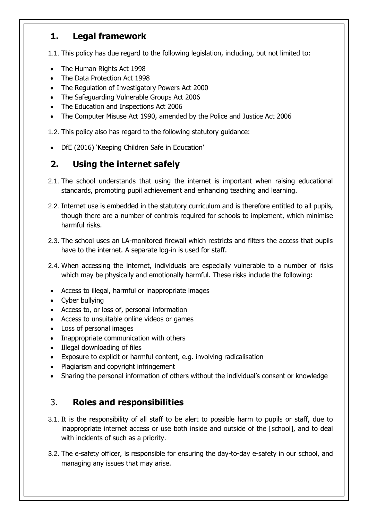# **1. Legal framework**

1.1. This policy has due regard to the following legislation, including, but not limited to:

- The Human Rights Act 1998
- The Data Protection Act 1998
- The Regulation of Investigatory Powers Act 2000
- The Safeguarding Vulnerable Groups Act 2006
- The Education and Inspections Act 2006
- The Computer Misuse Act 1990, amended by the Police and Justice Act 2006
- 1.2. This policy also has regard to the following statutory guidance:
- DfE (2016) 'Keeping Children Safe in Education'

# **2. Using the internet safely**

- 2.1. The school understands that using the internet is important when raising educational standards, promoting pupil achievement and enhancing teaching and learning.
- 2.2. Internet use is embedded in the statutory curriculum and is therefore entitled to all pupils, though there are a number of controls required for schools to implement, which minimise harmful risks.
- 2.3. The school uses an LA-monitored firewall which restricts and filters the access that pupils have to the internet. A separate log-in is used for staff.
- 2.4. When accessing the internet, individuals are especially vulnerable to a number of risks which may be physically and emotionally harmful. These risks include the following:
- Access to illegal, harmful or inappropriate images
- Cyber bullying
- Access to, or loss of, personal information
- Access to unsuitable online videos or games
- Loss of personal images
- Inappropriate communication with others
- Illegal downloading of files
- Exposure to explicit or harmful content, e.g. involving radicalisation
- Plagiarism and copyright infringement
- Sharing the personal information of others without the individual's consent or knowledge

# <span id="page-3-0"></span>3. **Roles and responsibilities**

- 3.1. It is the responsibility of all staff to be alert to possible harm to pupils or staff, due to inappropriate internet access or use both inside and outside of the [school], and to deal with incidents of such as a priority.
- 3.2. The e-safety officer, is responsible for ensuring the day-to-day e-safety in our school, and managing any issues that may arise.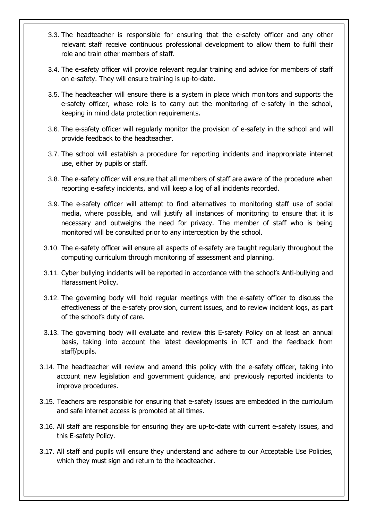- 3.3. The headteacher is responsible for ensuring that the e-safety officer and any other relevant staff receive continuous professional development to allow them to fulfil their role and train other members of staff.
- 3.4. The e-safety officer will provide relevant regular training and advice for members of staff on e-safety. They will ensure training is up-to-date.
- 3.5. The headteacher will ensure there is a system in place which monitors and supports the e-safety officer, whose role is to carry out the monitoring of e-safety in the school, keeping in mind data protection requirements.
- 3.6. The e-safety officer will regularly monitor the provision of e-safety in the school and will provide feedback to the headteacher.
- 3.7. The school will establish a procedure for reporting incidents and inappropriate internet use, either by pupils or staff.
- 3.8. The e-safety officer will ensure that all members of staff are aware of the procedure when reporting e-safety incidents, and will keep a log of all incidents recorded.
- 3.9. The e-safety officer will attempt to find alternatives to monitoring staff use of social media, where possible, and will justify all instances of monitoring to ensure that it is necessary and outweighs the need for privacy. The member of staff who is being monitored will be consulted prior to any interception by the school.
- 3.10. The e-safety officer will ensure all aspects of e-safety are taught regularly throughout the computing curriculum through monitoring of assessment and planning.
- 3.11. Cyber bullying incidents will be reported in accordance with the school's Anti-bullying and Harassment Policy.
- 3.12. The governing body will hold regular meetings with the e-safety officer to discuss the effectiveness of the e-safety provision, current issues, and to review incident logs, as part of the school's duty of care.
- 3.13. The governing body will evaluate and review this E-safety Policy on at least an annual basis, taking into account the latest developments in ICT and the feedback from staff/pupils.
- 3.14. The headteacher will review and amend this policy with the e-safety officer, taking into account new legislation and government guidance, and previously reported incidents to improve procedures.
- 3.15. Teachers are responsible for ensuring that e-safety issues are embedded in the curriculum and safe internet access is promoted at all times.
- 3.16. All staff are responsible for ensuring they are up-to-date with current e-safety issues, and this E-safety Policy.
- 3.17. All staff and pupils will ensure they understand and adhere to our Acceptable Use Policies, which they must sign and return to the headteacher.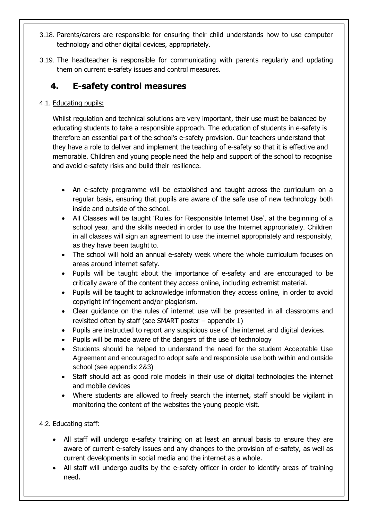- 3.18. Parents/carers are responsible for ensuring their child understands how to use computer technology and other digital devices, appropriately.
- 3.19. The headteacher is responsible for communicating with parents regularly and updating them on current e-safety issues and control measures.

# <span id="page-5-0"></span>**4. E-safety control measures**

#### 4.1. Educating pupils:

Whilst regulation and technical solutions are very important, their use must be balanced by educating students to take a responsible approach. The education of students in e-safety is therefore an essential part of the school's e-safety provision. Our teachers understand that they have a role to deliver and implement the teaching of e-safety so that it is effective and memorable. Children and young people need the help and support of the school to recognise and avoid e-safety risks and build their resilience.

- An e-safety programme will be established and taught across the curriculum on a regular basis, ensuring that pupils are aware of the safe use of new technology both inside and outside of the school.
- All Classes will be taught 'Rules for Responsible Internet Use', at the beginning of a school year, and the skills needed in order to use the Internet appropriately. Children in all classes will sign an agreement to use the internet appropriately and responsibly, as they have been taught to.
- The school will hold an annual e-safety week where the whole curriculum focuses on areas around internet safety.
- Pupils will be taught about the importance of e-safety and are encouraged to be critically aware of the content they access online, including extremist material.
- Pupils will be taught to acknowledge information they access online, in order to avoid copyright infringement and/or plagiarism.
- Clear guidance on the rules of internet use will be presented in all classrooms and revisited often by staff (see SMART poster – appendix 1)
- Pupils are instructed to report any suspicious use of the internet and digital devices.
- Pupils will be made aware of the dangers of the use of technology
- Students should be helped to understand the need for the student Acceptable Use Agreement and encouraged to adopt safe and responsible use both within and outside school (see appendix 2&3)
- Staff should act as good role models in their use of digital technologies the internet and mobile devices
- Where students are allowed to freely search the internet, staff should be vigilant in monitoring the content of the websites the young people visit.

#### 4.2. Educating staff:

- All staff will undergo e-safety training on at least an annual basis to ensure they are aware of current e-safety issues and any changes to the provision of e-safety, as well as current developments in social media and the internet as a whole.
- All staff will undergo audits by the e-safety officer in order to identify areas of training need.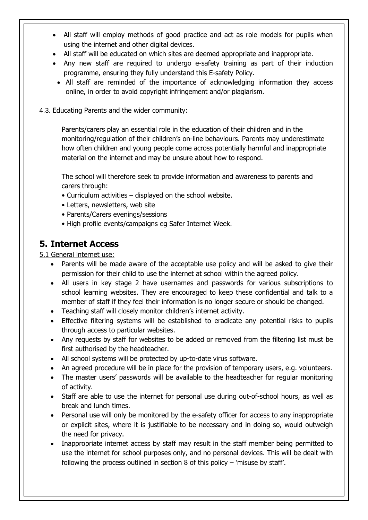- All staff will employ methods of good practice and act as role models for pupils when using the internet and other digital devices.
- All staff will be educated on which sites are deemed appropriate and inappropriate.
- Any new staff are required to undergo e-safety training as part of their induction programme, ensuring they fully understand this E-safety Policy.
- All staff are reminded of the importance of acknowledging information they access online, in order to avoid copyright infringement and/or plagiarism.

#### 4.3. Educating Parents and the wider community:

Parents/carers play an essential role in the education of their children and in the monitoring/regulation of their children's on-line behaviours. Parents may underestimate how often children and young people come across potentially harmful and inappropriate material on the internet and may be unsure about how to respond.

The school will therefore seek to provide information and awareness to parents and carers through:

- Curriculum activities displayed on the school website.
- Letters, newsletters, web site
- Parents/Carers evenings/sessions
- High profile events/campaigns eg Safer Internet Week.

# **5. Internet Access**

5.1 General internet use:

- Parents will be made aware of the acceptable use policy and will be asked to give their permission for their child to use the internet at school within the agreed policy.
- All users in key stage 2 have usernames and passwords for various subscriptions to school learning websites. They are encouraged to keep these confidential and talk to a member of staff if they feel their information is no longer secure or should be changed.
- Teaching staff will closely monitor children's internet activity.
- Effective filtering systems will be established to eradicate any potential risks to pupils through access to particular websites.
- Any requests by staff for websites to be added or removed from the filtering list must be first authorised by the headteacher.
- All school systems will be protected by up-to-date virus software.
- An agreed procedure will be in place for the provision of temporary users, e.g. volunteers.
- The master users' passwords will be available to the headteacher for regular monitoring of activity.
- Staff are able to use the internet for personal use during out-of-school hours, as well as break and lunch times.
- Personal use will only be monitored by the e-safety officer for access to any inappropriate or explicit sites, where it is justifiable to be necessary and in doing so, would outweigh the need for privacy.
- Inappropriate internet access by staff may result in the staff member being permitted to use the internet for school purposes only, and no personal devices. This will be dealt with following the process outlined in section 8 of this policy  $-$  'misuse by staff'.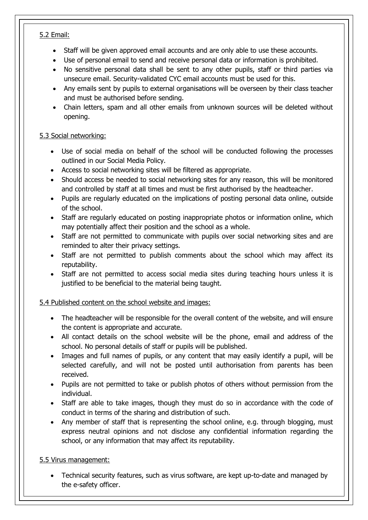#### 5.2 Email:

- Staff will be given approved email accounts and are only able to use these accounts.
- Use of personal email to send and receive personal data or information is prohibited.
- No sensitive personal data shall be sent to any other pupils, staff or third parties via unsecure email. Security-validated CYC email accounts must be used for this.
- Any emails sent by pupils to external organisations will be overseen by their class teacher and must be authorised before sending.
- Chain letters, spam and all other emails from unknown sources will be deleted without opening.

#### 5.3 Social networking:

- Use of social media on behalf of the school will be conducted following the processes outlined in our Social Media Policy.
- Access to social networking sites will be filtered as appropriate.
- Should access be needed to social networking sites for any reason, this will be monitored and controlled by staff at all times and must be first authorised by the headteacher.
- Pupils are regularly educated on the implications of posting personal data online, outside of the school.
- Staff are regularly educated on posting inappropriate photos or information online, which may potentially affect their position and the school as a whole.
- Staff are not permitted to communicate with pupils over social networking sites and are reminded to alter their privacy settings.
- Staff are not permitted to publish comments about the school which may affect its reputability.
- Staff are not permitted to access social media sites during teaching hours unless it is justified to be beneficial to the material being taught.

#### 5.4 Published content on the school website and images:

- The headteacher will be responsible for the overall content of the website, and will ensure the content is appropriate and accurate.
- All contact details on the school website will be the phone, email and address of the school. No personal details of staff or pupils will be published.
- Images and full names of pupils, or any content that may easily identify a pupil, will be selected carefully, and will not be posted until authorisation from parents has been received.
- Pupils are not permitted to take or publish photos of others without permission from the individual.
- Staff are able to take images, though they must do so in accordance with the code of conduct in terms of the sharing and distribution of such.
- Any member of staff that is representing the school online, e.g. through blogging, must express neutral opinions and not disclose any confidential information regarding the school, or any information that may affect its reputability.

#### 5.5 Virus management:

 Technical security features, such as virus software, are kept up-to-date and managed by the e-safety officer.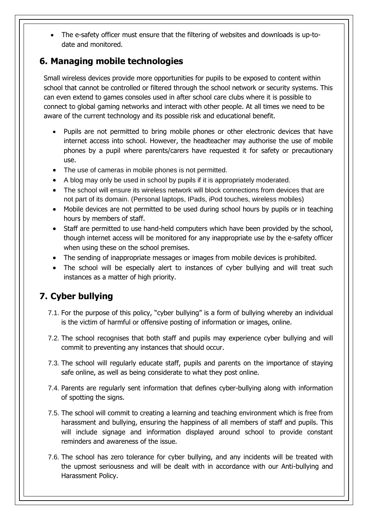• The e-safety officer must ensure that the filtering of websites and downloads is up-todate and monitored.

# **6. Managing mobile technologies**

Small wireless devices provide more opportunities for pupils to be exposed to content within school that cannot be controlled or filtered through the school network or security systems. This can even extend to games consoles used in after school care clubs where it is possible to connect to global gaming networks and interact with other people. At all times we need to be aware of the current technology and its possible risk and educational benefit.

- Pupils are not permitted to bring mobile phones or other electronic devices that have internet access into school. However, the headteacher may authorise the use of mobile phones by a pupil where parents/carers have requested it for safety or precautionary use.
- The use of cameras in mobile phones is not permitted.
- A blog may only be used in school by pupils if it is appropriately moderated.
- The school will ensure its wireless network will block connections from devices that are not part of its domain. (Personal laptops, IPads, iPod touches, wireless mobiles)
- Mobile devices are not permitted to be used during school hours by pupils or in teaching hours by members of staff.
- Staff are permitted to use hand-held computers which have been provided by the school, though internet access will be monitored for any inappropriate use by the e-safety officer when using these on the school premises.
- The sending of inappropriate messages or images from mobile devices is prohibited.
- The school will be especially alert to instances of cyber bullying and will treat such instances as a matter of high priority.

# **7. Cyber bullying**

- <span id="page-8-0"></span>7.1. For the purpose of this policy, "cyber bullying" is a form of bullying whereby an individual is the victim of harmful or offensive posting of information or images, online.
- 7.2. The school recognises that both staff and pupils may experience cyber bullying and will commit to preventing any instances that should occur.
- 7.3. The school will regularly educate staff, pupils and parents on the importance of staying safe online, as well as being considerate to what they post online.
- 7.4. Parents are regularly sent information that defines cyber-bullying along with information of spotting the signs.
- 7.5. The school will commit to creating a learning and teaching environment which is free from harassment and bullying, ensuring the happiness of all members of staff and pupils. This will include signage and information displayed around school to provide constant reminders and awareness of the issue.
- 7.6. The school has zero tolerance for cyber bullying, and any incidents will be treated with the upmost seriousness and will be dealt with in accordance with our Anti-bullying and Harassment Policy.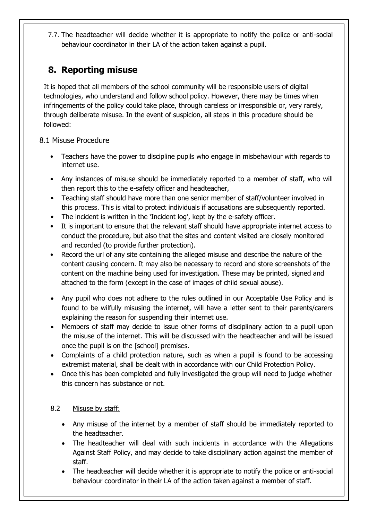7.7. The headteacher will decide whether it is appropriate to notify the police or anti-social behaviour coordinator in their LA of the action taken against a pupil.

# <span id="page-9-0"></span>**8. Reporting misuse**

It is hoped that all members of the school community will be responsible users of digital technologies, who understand and follow school policy. However, there may be times when infringements of the policy could take place, through careless or irresponsible or, very rarely, through deliberate misuse. In the event of suspicion, all steps in this procedure should be followed:

#### 8.1 Misuse Procedure

- Teachers have the power to discipline pupils who engage in misbehaviour with regards to internet use.
- Any instances of misuse should be immediately reported to a member of staff, who will then report this to the e-safety officer and headteacher,
- Teaching staff should have more than one senior member of staff/volunteer involved in this process. This is vital to protect individuals if accusations are subsequently reported.
- The incident is written in the 'Incident log', kept by the e-safety officer.
- It is important to ensure that the relevant staff should have appropriate internet access to conduct the procedure, but also that the sites and content visited are closely monitored and recorded (to provide further protection).
- Record the url of any site containing the alleged misuse and describe the nature of the content causing concern. It may also be necessary to record and store screenshots of the content on the machine being used for investigation. These may be printed, signed and attached to the form (except in the case of images of child sexual abuse).
- Any pupil who does not adhere to the rules outlined in our Acceptable Use Policy and is found to be wilfully misusing the internet, will have a letter sent to their parents/carers explaining the reason for suspending their internet use.
- Members of staff may decide to issue other forms of disciplinary action to a pupil upon the misuse of the internet. This will be discussed with the headteacher and will be issued once the pupil is on the [school] premises.
- Complaints of a child protection nature, such as when a pupil is found to be accessing extremist material, shall be dealt with in accordance with our Child Protection Policy.
- Once this has been completed and fully investigated the group will need to judge whether this concern has substance or not.

#### 8.2 Misuse by staff:

- Any misuse of the internet by a member of staff should be immediately reported to the headteacher.
- The headteacher will deal with such incidents in accordance with the Allegations Against Staff Policy, and may decide to take disciplinary action against the member of staff.
- The headteacher will decide whether it is appropriate to notify the police or anti-social behaviour coordinator in their LA of the action taken against a member of staff.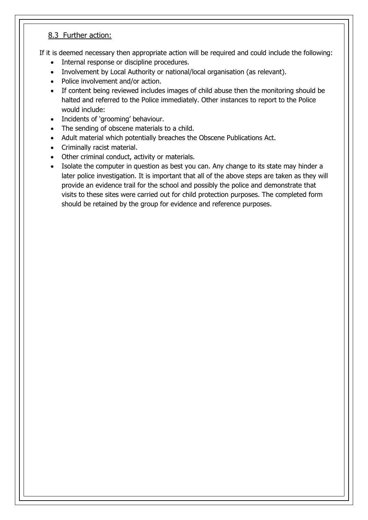#### 8.3 Further action:

If it is deemed necessary then appropriate action will be required and could include the following:

- Internal response or discipline procedures.
- Involvement by Local Authority or national/local organisation (as relevant).
- Police involvement and/or action.
- If content being reviewed includes images of child abuse then the monitoring should be halted and referred to the Police immediately. Other instances to report to the Police would include:
- Incidents of 'grooming' behaviour.
- The sending of obscene materials to a child.
- Adult material which potentially breaches the Obscene Publications Act.
- Criminally racist material.
- Other criminal conduct, activity or materials.
- Isolate the computer in question as best you can. Any change to its state may hinder a later police investigation. It is important that all of the above steps are taken as they will provide an evidence trail for the school and possibly the police and demonstrate that visits to these sites were carried out for child protection purposes. The completed form should be retained by the group for evidence and reference purposes.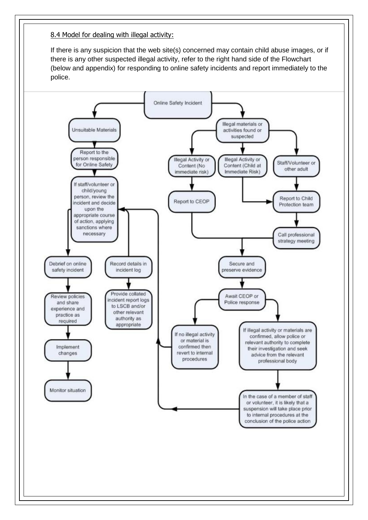8.4 Model for dealing with illegal activity:

If there is any suspicion that the web site(s) concerned may contain child abuse images, or if there is any other suspected illegal activity, refer to the right hand side of the Flowchart (below and appendix) for responding to online safety incidents and report immediately to the police.

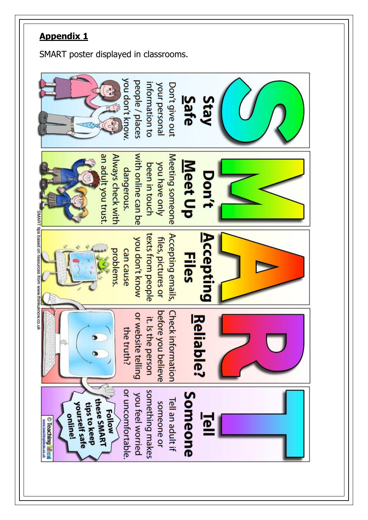# **Appendix 1**

SMART poster displayed in classrooms.

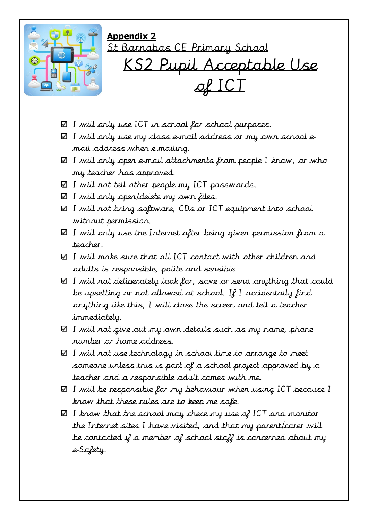

**Appendix 2** St Barnabas CE Primary School KS2 Pupil Acceptable Use of ICT

- $\boxtimes$  I will only use ICT in school for school purposes.
- $\boxtimes$  I will only use my class e-mail address or my own school email address when e-mailing.
- $\boxtimes$  I will only open e-mail attachments from people I know, or who my teacher has approved.
- $\boxtimes$  I will not tell other people my ICT passwords.
- $\boxtimes$  I will only open/delete my own files.
- $\boxtimes$  I will not bring software, CDs or ICT equipment into school without permission.
- $\boxtimes$  I will only use the Internet after being given permission from a teacher.
- $\boxtimes$  I will make sure that all ICT contact with other children and adults is responsible, polite and sensible.
- $\boxtimes$  I will not deliberately look for, save or send anything that could be upsetting or not allowed at school. If I accidentally find anything like this, I will close the screen and tell a teacher immediately.
- $\boxtimes$  I will not give out my own details such as my name, phone number or home address.
- $\boxtimes$  I will not use technology in school time to arrange to meet someone unless this is part of a school project approved by a teacher and a responsible adult comes with me.
- I will be responsible for my behaviour when using ICT because I know that these rules are to keep me safe.
- $\boxtimes$  I know that the school may check my use of ICT and monitor the Internet sites I have visited, and that my parent/carer will be contacted if a member of school staff is concerned about my e-Safety.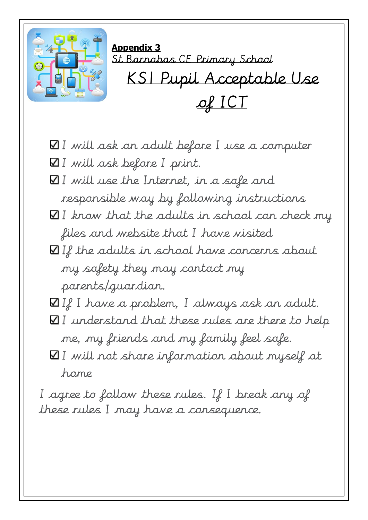

- $\Pi$  I will ask an adult before I use a computer
- I will ask before I print.
- $\Pi$  I will use the Internet, in a safe and responsible way by following instructions
- $\Pi$  I know that the adults in school can check my files and website that I have visited
- $\Pi$  If the adults in school have concerns about my safety they may contact my parents/guardian.
- $\boxtimes$  If I have a problem, I always ask an adult.
- $\Pi$  I understand that these rules are there to help me, my friends and my family feel safe.
- $\Psi$  I will not share information about myself at home

I agree to follow these rules. If I break any of these rules I may have a consequence.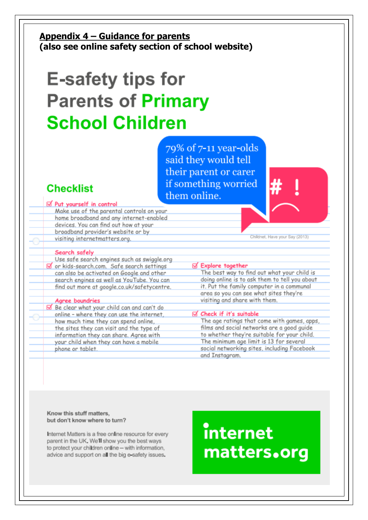### **Appendix 4 – Guidance for parents (also see online safety section of school website)**

# **E-safety tips for Parents of Primary School Children**

79% of 7-11 year-olds said they would tell their parent or carer if something worried them online.

# **Checklist**

#### ⊠ Put yourself in control

Make use of the parental controls on your home broadband and any internet-enabled devices. You can find out how at your broadband provider's website or by visiting internetmatters.org.

#### Search safely

Use safe search engines such as swiggle.org or kids-search.com. Safe search settings can also be activated on Google and other search engines as well as YouTube. You can find out more at google.co.uk/safetycentre.

#### Agree boundries

Be clear what your child can and can't do online - where they can use the internet, how much time they can spend online, the sites they can visit and the type of information they can share. Agree with your child when they can have a mobile phone or tablet.

Childnet, Have your Say (2013)

#### **Ø** Explore together

The best way to find out what your child is doing online is to ask them to tell you about it. Put the family computer in a communal area so you can see what sites they're visiting and share with them.

#### of Check if it's suitable

The age ratings that come with games, apps, films and social networks are a good guide to whether they're suitable for your child. The minimum age limit is 13 for several social networking sites, including Facebook and Instagram.

Know this stuff matters. but don't know where to turn?

Internet Matters is a free online resource for every parent in the UK. We'll show you the best ways to protect your children online - with information, advice and support on all the big e-safety issues.

# **internet** matters.org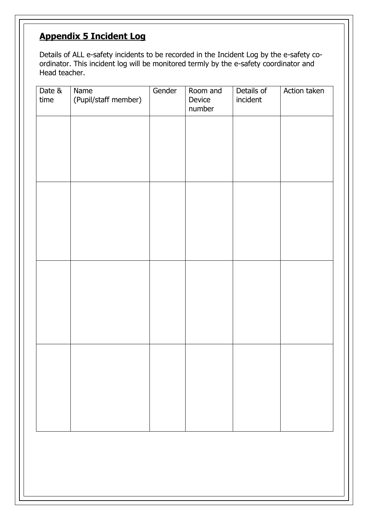# **Appendix 5 Incident Log**

Details of ALL e-safety incidents to be recorded in the Incident Log by the e-safety coordinator. This incident log will be monitored termly by the e-safety coordinator and Head teacher.

| Date &<br>time | Name<br>(Pupil/staff member) | Gender | Room and<br>Device<br>number | Details of<br>incident | Action taken |
|----------------|------------------------------|--------|------------------------------|------------------------|--------------|
|                |                              |        |                              |                        |              |
|                |                              |        |                              |                        |              |
|                |                              |        |                              |                        |              |
|                |                              |        |                              |                        |              |
|                |                              |        |                              |                        |              |
|                |                              |        |                              |                        |              |
|                |                              |        |                              |                        |              |
|                |                              |        |                              |                        |              |
|                |                              |        |                              |                        |              |
|                |                              |        |                              |                        |              |
|                |                              |        |                              |                        |              |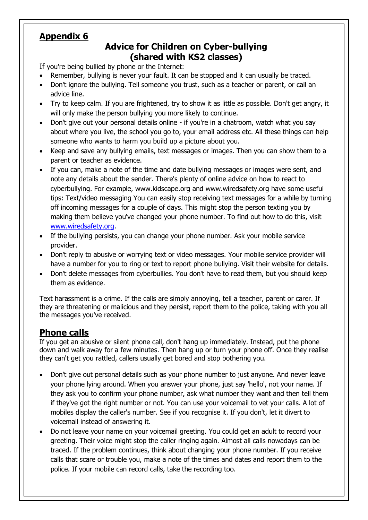# **Appendix 6**

# **Advice for Children on Cyber-bullying (shared with KS2 classes)**

If you're being bullied by phone or the Internet:

- Remember, bullying is never your fault. It can be stopped and it can usually be traced.
- Don't ignore the bullying. Tell someone you trust, such as a teacher or parent, or call an advice line.
- Try to keep calm. If you are frightened, try to show it as little as possible. Don't get angry, it will only make the person bullying you more likely to continue.
- Don't give out your personal details online if you're in a chatroom, watch what you say about where you live, the school you go to, your email address etc. All these things can help someone who wants to harm you build up a picture about you.
- Keep and save any bullying emails, text messages or images. Then you can show them to a parent or teacher as evidence.
- If you can, make a note of the time and date bullying messages or images were sent, and note any details about the sender. There's plenty of online advice on how to react to cyberbullying. For example, www.kidscape.org and www.wiredsafety.org have some useful tips: Text/video messaging You can easily stop receiving text messages for a while by turning off incoming messages for a couple of days. This might stop the person texting you by making them believe you've changed your phone number. To find out how to do this, visit [www.wiredsafety.org.](http://www.wiredsafety.org/)
- If the bullying persists, you can change your phone number. Ask your mobile service provider.
- Don't reply to abusive or worrying text or video messages. Your mobile service provider will have a number for you to ring or text to report phone bullying. Visit their website for details.
- Don't delete messages from cyberbullies. You don't have to read them, but you should keep them as evidence.

Text harassment is a crime. If the calls are simply annoying, tell a teacher, parent or carer. If they are threatening or malicious and they persist, report them to the police, taking with you all the messages you've received.

# **Phone calls**

If you get an abusive or silent phone call, don't hang up immediately. Instead, put the phone down and walk away for a few minutes. Then hang up or turn your phone off. Once they realise they can't get you rattled, callers usually get bored and stop bothering you.

- Don't give out personal details such as your phone number to just anyone. And never leave your phone lying around. When you answer your phone, just say 'hello', not your name. If they ask you to confirm your phone number, ask what number they want and then tell them if they've got the right number or not. You can use your voicemail to vet your calls. A lot of mobiles display the caller's number. See if you recognise it. If you don't, let it divert to voicemail instead of answering it.
- Do not leave your name on your voicemail greeting. You could get an adult to record your greeting. Their voice might stop the caller ringing again. Almost all calls nowadays can be traced. If the problem continues, think about changing your phone number. If you receive calls that scare or trouble you, make a note of the times and dates and report them to the police. If your mobile can record calls, take the recording too.